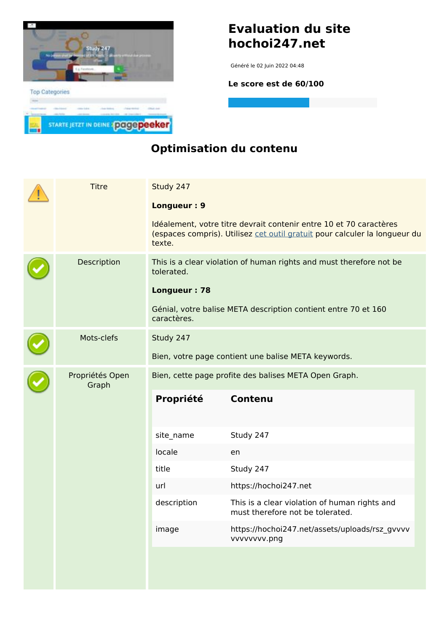

### **Evaluation du site hochoi247.net**

Généré le 02 Juin 2022 04:48

**Le score est de 60/100**

#### **Optimisation du contenu**

|  | <b>Titre</b>             | Study 247<br>Longueur: 9<br>texte.                    | Idéalement, votre titre devrait contenir entre 10 et 70 caractères<br>(espaces compris). Utilisez cet outil gratuit pour calculer la longueur du |  |
|--|--------------------------|-------------------------------------------------------|--------------------------------------------------------------------------------------------------------------------------------------------------|--|
|  | Description              | tolerated.<br>Longueur: 78<br>caractères.             | This is a clear violation of human rights and must therefore not be<br>Génial, votre balise META description contient entre 70 et 160            |  |
|  | Mots-clefs               | Study 247                                             | Bien, votre page contient une balise META keywords.                                                                                              |  |
|  | Propriétés Open<br>Graph | Bien, cette page profite des balises META Open Graph. |                                                                                                                                                  |  |
|  |                          | Propriété                                             | <b>Contenu</b>                                                                                                                                   |  |
|  |                          | site_name                                             | Study 247                                                                                                                                        |  |
|  |                          | locale                                                | en                                                                                                                                               |  |
|  |                          | title                                                 | Study 247                                                                                                                                        |  |
|  |                          | url                                                   | https://hochoi247.net                                                                                                                            |  |
|  |                          | description                                           | This is a clear violation of human rights and<br>must therefore not be tolerated.                                                                |  |
|  |                          | image                                                 | https://hochoi247.net/assets/uploads/rsz_gvvvv<br>vvvvvvvv.png                                                                                   |  |
|  |                          |                                                       |                                                                                                                                                  |  |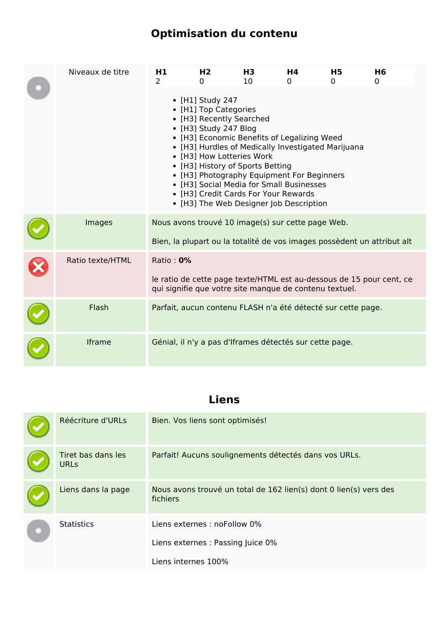# **Optimisation du contenu**

| Niveaux de titre | H1<br>$\mathcal{P}$ | H <sub>2</sub><br>$\Omega$                                         | H3<br>10                                                                                  | Η4<br>0                                                                                                                                                                                                                  | H5<br>$\Omega$                                               | H6<br>0                                                                 |
|------------------|---------------------|--------------------------------------------------------------------|-------------------------------------------------------------------------------------------|--------------------------------------------------------------------------------------------------------------------------------------------------------------------------------------------------------------------------|--------------------------------------------------------------|-------------------------------------------------------------------------|
|                  |                     | • [H1] Study 247<br>• [H1] Top Categories<br>• [H3] Study 247 Blog | • [H3] Recently Searched<br>• [H3] How Lotteries Work<br>• [H3] History of Sports Betting | • [H3] Economic Benefits of Legalizing Weed<br>• [H3] Photography Equipment For Beginners<br>• [H3] Social Media for Small Businesses<br>• [H3] Credit Cards For Your Rewards<br>• [H3] The Web Designer Job Description | • [H3] Hurdles of Medically Investigated Marijuana           |                                                                         |
| Images           |                     |                                                                    |                                                                                           | Nous avons trouvé 10 image(s) sur cette page Web.                                                                                                                                                                        |                                                              | Bien, la plupart ou la totalité de vos images possèdent un attribut alt |
| Ratio texte/HTML | Ratio: 0%           |                                                                    |                                                                                           | qui signifie que votre site manque de contenu textuel.                                                                                                                                                                   |                                                              | le ratio de cette page texte/HTML est au-dessous de 15 pour cent, ce    |
| Flash            |                     |                                                                    |                                                                                           |                                                                                                                                                                                                                          | Parfait, aucun contenu FLASH n'a été détecté sur cette page. |                                                                         |
| Iframe           |                     |                                                                    |                                                                                           | Génial, il n'y a pas d'Iframes détectés sur cette page.                                                                                                                                                                  |                                                              |                                                                         |

### **Liens**

| Réécriture d'URLs                 | Bien. Vos liens sont optimisés!                                               |
|-----------------------------------|-------------------------------------------------------------------------------|
| Tiret bas dans les<br><b>URLS</b> | Parfait! Aucuns soulignements détectés dans vos URLs.                         |
| Liens dans la page                | Nous avons trouvé un total de 162 lien(s) dont 0 lien(s) vers des<br>fichiers |
| <b>Statistics</b>                 | Liens externes : noFollow 0%                                                  |
|                                   | Liens externes : Passing Juice 0%                                             |
|                                   | Liens internes 100%                                                           |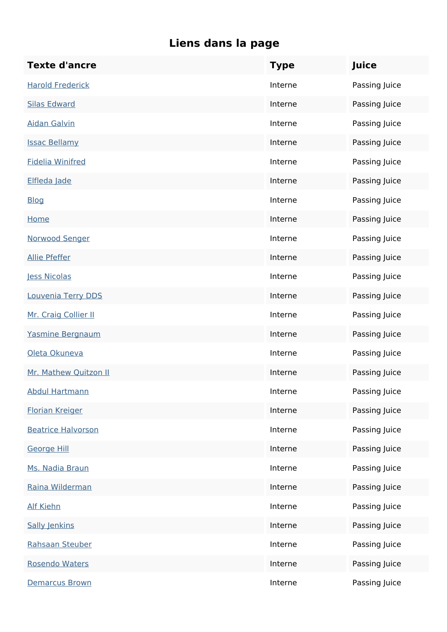| <b>Texte d'ancre</b>      | <b>Type</b> | Juice         |
|---------------------------|-------------|---------------|
| <b>Harold Frederick</b>   | Interne     | Passing Juice |
| <b>Silas Edward</b>       | Interne     | Passing Juice |
| <b>Aidan Galvin</b>       | Interne     | Passing Juice |
| <b>Issac Bellamy</b>      | Interne     | Passing Juice |
| <b>Fidelia Winifred</b>   | Interne     | Passing Juice |
| Elfleda Jade              | Interne     | Passing Juice |
| <b>Blog</b>               | Interne     | Passing Juice |
| Home                      | Interne     | Passing Juice |
| Norwood Senger            | Interne     | Passing Juice |
| <b>Allie Pfeffer</b>      | Interne     | Passing Juice |
| Jess Nicolas              | Interne     | Passing Juice |
| Louvenia Terry DDS        | Interne     | Passing Juice |
| Mr. Craig Collier II      | Interne     | Passing Juice |
| Yasmine Bergnaum          | Interne     | Passing Juice |
| Oleta Okuneva             | Interne     | Passing Juice |
| Mr. Mathew Quitzon II     | Interne     | Passing Juice |
| <b>Abdul Hartmann</b>     | Interne     | Passing Juice |
| <b>Florian Kreiger</b>    | Interne     | Passing Juice |
| <b>Beatrice Halvorson</b> | Interne     | Passing Juice |
| George Hill               | Interne     | Passing Juice |
| Ms. Nadia Braun           | Interne     | Passing Juice |
| Raina Wilderman           | Interne     | Passing Juice |
| <b>Alf Kiehn</b>          | Interne     | Passing Juice |
| <b>Sally Jenkins</b>      | Interne     | Passing Juice |
| Rahsaan Steuber           | Interne     | Passing Juice |
| Rosendo Waters            | Interne     | Passing Juice |
| Demarcus Brown            | Interne     | Passing Juice |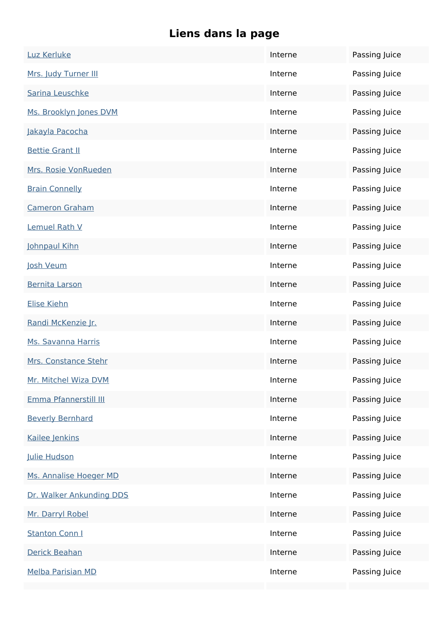| Luz Kerluke              | Interne | Passing Juice |
|--------------------------|---------|---------------|
| Mrs. Judy Turner III     | Interne | Passing Juice |
| Sarina Leuschke          | Interne | Passing Juice |
| Ms. Brooklyn Jones DVM   | Interne | Passing Juice |
| Jakayla Pacocha          | Interne | Passing Juice |
| <b>Bettie Grant II</b>   | Interne | Passing Juice |
| Mrs. Rosie VonRueden     | Interne | Passing Juice |
| <b>Brain Connelly</b>    | Interne | Passing Juice |
| <b>Cameron Graham</b>    | Interne | Passing Juice |
| Lemuel Rath V            | Interne | Passing Juice |
| Johnpaul Kihn            | Interne | Passing Juice |
| Josh Veum                | Interne | Passing Juice |
| <b>Bernita Larson</b>    | Interne | Passing Juice |
| Elise Kiehn              | Interne | Passing Juice |
| Randi McKenzie Jr.       | Interne | Passing Juice |
| Ms. Savanna Harris       | Interne | Passing Juice |
| Mrs. Constance Stehr     | Interne | Passing Juice |
| Mr. Mitchel Wiza DVM     | Interne | Passing Juice |
| Emma Pfannerstill III    | Interne | Passing Juice |
| <b>Beverly Bernhard</b>  | Interne | Passing Juice |
| Kailee Jenkins           | Interne | Passing Juice |
| Julie Hudson             | Interne | Passing Juice |
| Ms. Annalise Hoeger MD   | Interne | Passing Juice |
| Dr. Walker Ankunding DDS | Interne | Passing Juice |
| Mr. Darryl Robel         | Interne | Passing Juice |
| <b>Stanton Conn I</b>    | Interne | Passing Juice |
| Derick Beahan            | Interne | Passing Juice |
| <b>Melba Parisian MD</b> | Interne | Passing Juice |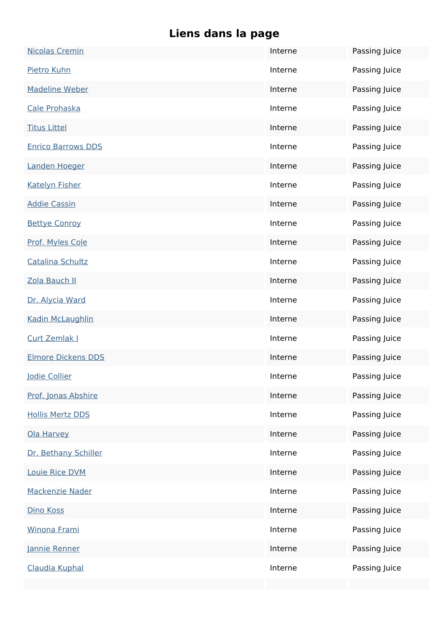| <b>Nicolas Cremin</b>     | Interne | Passing Juice |
|---------------------------|---------|---------------|
| Pietro Kuhn               | Interne | Passing Juice |
| <b>Madeline Weber</b>     | Interne | Passing Juice |
| Cale Prohaska             | Interne | Passing Juice |
| <b>Titus Littel</b>       | Interne | Passing Juice |
| <b>Enrico Barrows DDS</b> | Interne | Passing Juice |
| Landen Hoeger             | Interne | Passing Juice |
| <b>Katelyn Fisher</b>     | Interne | Passing Juice |
| <b>Addie Cassin</b>       | Interne | Passing Juice |
| <b>Bettye Conroy</b>      | Interne | Passing Juice |
| Prof. Myles Cole          | Interne | Passing Juice |
| <b>Catalina Schultz</b>   | Interne | Passing Juice |
| Zola Bauch II             | Interne | Passing Juice |
| Dr. Alycia Ward           | Interne | Passing Juice |
| Kadin McLaughlin          | Interne | Passing Juice |
| <b>Curt Zemlak I</b>      | Interne | Passing Juice |
| <b>Elmore Dickens DDS</b> | Interne | Passing Juice |
| <u> Iodie Collier</u>     | Interne | Passing Juice |
| Prof. Jonas Abshire       | Interne | Passing Juice |
| <b>Hollis Mertz DDS</b>   | Interne | Passing Juice |
| Ola Harvey                | Interne | Passing Juice |
| Dr. Bethany Schiller      | Interne | Passing Juice |
| <b>Louie Rice DVM</b>     | Interne | Passing Juice |
| Mackenzie Nader           | Interne | Passing Juice |
| Dino Koss                 | Interne | Passing Juice |
| Winona Frami              | Interne | Passing Juice |
| Jannie Renner             | Interne | Passing Juice |
| Claudia Kuphal            | Interne | Passing Juice |
|                           |         |               |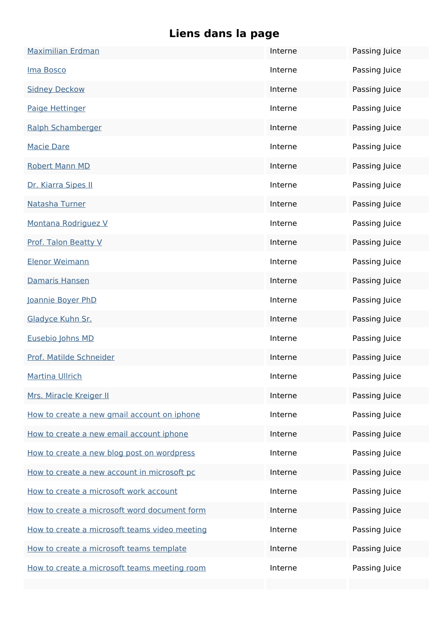| <b>Maximilian Erdman</b>                      | Interne | Passing Juice |
|-----------------------------------------------|---------|---------------|
| Ima Bosco                                     | Interne | Passing Juice |
| <b>Sidney Deckow</b>                          | Interne | Passing Juice |
| Paige Hettinger                               | Interne | Passing Juice |
| Ralph Schamberger                             | Interne | Passing Juice |
| <b>Macie Dare</b>                             | Interne | Passing Juice |
| <b>Robert Mann MD</b>                         | Interne | Passing Juice |
| Dr. Kiarra Sipes II                           | Interne | Passing Juice |
| Natasha Turner                                | Interne | Passing Juice |
| Montana Rodriguez V                           | Interne | Passing Juice |
| <b>Prof. Talon Beatty V</b>                   | Interne | Passing Juice |
| <b>Elenor Weimann</b>                         | Interne | Passing Juice |
| Damaris Hansen                                | Interne | Passing Juice |
| Joannie Boyer PhD                             | Interne | Passing Juice |
| Gladyce Kuhn Sr.                              | Interne | Passing Juice |
| Eusebio Johns MD                              | Interne | Passing Juice |
| Prof. Matilde Schneider                       | Interne | Passing Juice |
| <b>Martina Ullrich</b>                        | Interne | Passing Juice |
| Mrs. Miracle Kreiger II                       | Interne | Passing Juice |
| How to create a new gmail account on iphone   | Interne | Passing Juice |
| How to create a new email account iphone      | Interne | Passing Juice |
| How to create a new blog post on wordpress    | Interne | Passing Juice |
| How to create a new account in microsoft pc   | Interne | Passing Juice |
| How to create a microsoft work account        | Interne | Passing Juice |
| How to create a microsoft word document form  | Interne | Passing Juice |
| How to create a microsoft teams video meeting | Interne | Passing Juice |
| How to create a microsoft teams template      | Interne | Passing Juice |
| How to create a microsoft teams meeting room  | Interne | Passing Juice |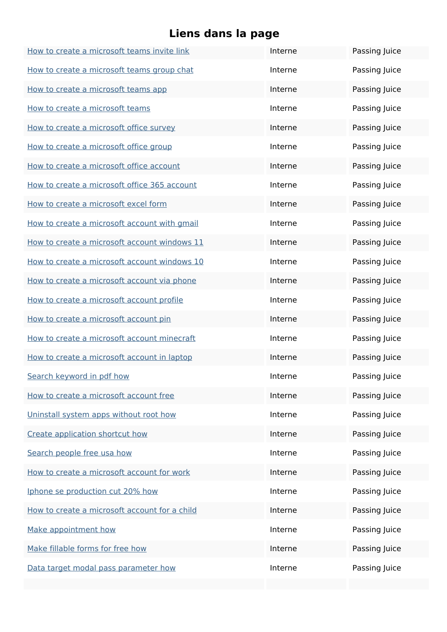| How to create a microsoft teams invite link   | Interne | Passing Juice |
|-----------------------------------------------|---------|---------------|
| How to create a microsoft teams group chat    | Interne | Passing Juice |
| How to create a microsoft teams app           | Interne | Passing Juice |
| How to create a microsoft teams               | Interne | Passing Juice |
| How to create a microsoft office survey       | Interne | Passing Juice |
| How to create a microsoft office group        | Interne | Passing Juice |
| How to create a microsoft office account      | Interne | Passing Juice |
| How to create a microsoft office 365 account  | Interne | Passing Juice |
| How to create a microsoft excel form          | Interne | Passing Juice |
| How to create a microsoft account with gmail  | Interne | Passing Juice |
| How to create a microsoft account windows 11  | Interne | Passing Juice |
| How to create a microsoft account windows 10  | Interne | Passing Juice |
| How to create a microsoft account via phone   | Interne | Passing Juice |
| How to create a microsoft account profile     | Interne | Passing Juice |
| How to create a microsoft account pin         | Interne | Passing Juice |
| How to create a microsoft account minecraft   | Interne | Passing Juice |
| How to create a microsoft account in laptop   | Interne | Passing Juice |
| Search keyword in pdf how                     | Interne | Passing Juice |
| How to create a microsoft account free        | Interne | Passing Juice |
| Uninstall system apps without root how        | Interne | Passing Juice |
| Create application shortcut how               | Interne | Passing Juice |
| Search people free usa how                    | Interne | Passing Juice |
| How to create a microsoft account for work    | Interne | Passing Juice |
| Iphone se production cut 20% how              | Interne | Passing Juice |
| How to create a microsoft account for a child | Interne | Passing Juice |
| Make appointment how                          | Interne | Passing Juice |
| Make fillable forms for free how              | Interne | Passing Juice |
| Data target modal pass parameter how          | Interne | Passing Juice |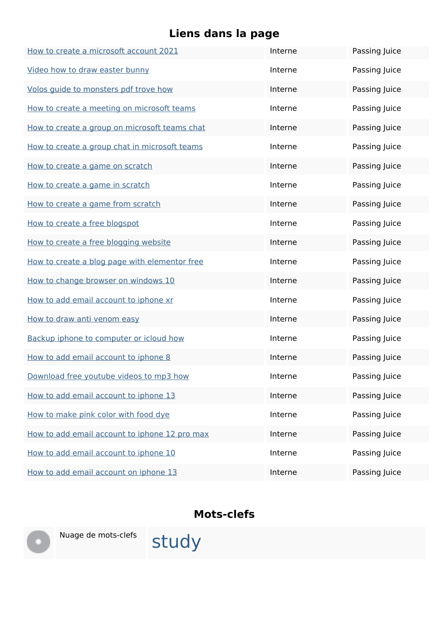| How to create a microsoft account 2021        | Interne | Passing Juice |
|-----------------------------------------------|---------|---------------|
| Video how to draw easter bunny                | Interne | Passing Juice |
| Volos guide to monsters pdf trove how         | Interne | Passing Juice |
| How to create a meeting on microsoft teams    | Interne | Passing Juice |
| How to create a group on microsoft teams chat | Interne | Passing Juice |
| How to create a group chat in microsoft teams | Interne | Passing Juice |
| How to create a game on scratch               | Interne | Passing Juice |
| How to create a game in scratch               | Interne | Passing Juice |
| How to create a game from scratch             | Interne | Passing Juice |
| How to create a free blogspot                 | Interne | Passing Juice |
| How to create a free blogging website         | Interne | Passing Juice |
| How to create a blog page with elementor free | Interne | Passing Juice |
| How to change browser on windows 10           | Interne | Passing Juice |
| How to add email account to iphone xr         | Interne | Passing Juice |
| How to draw anti venom easy                   | Interne | Passing Juice |
| Backup iphone to computer or icloud how       | Interne | Passing Juice |
| How to add email account to iphone 8          | Interne | Passing Juice |
| Download free youtube videos to mp3 how       | Interne | Passing Juice |
| How to add email account to iphone 13         | Interne | Passing Juice |
| How to make pink color with food dye          | Interne | Passing Juice |
| How to add email account to iphone 12 pro max | Interne | Passing Juice |
| How to add email account to iphone 10         | Interne | Passing Juice |
| How to add email account on iphone 13         | Interne | Passing Juice |

#### **Mots-clefs**



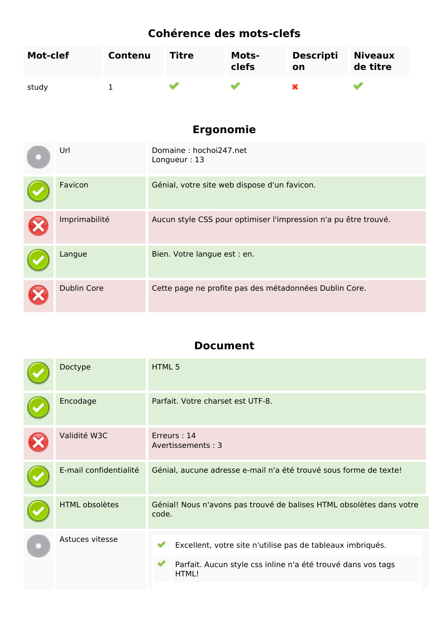## **Cohérence des mots-clefs**

| Mot-clef | Contenu | <b>Titre</b> | <b>Mots-</b><br>clefs | <b>Descripti</b><br>on | <b>Niveaux</b><br>de titre |
|----------|---------|--------------|-----------------------|------------------------|----------------------------|
| study    |         |              |                       |                        |                            |

### **Ergonomie**

| Url                | Domaine: hochoi247.net<br>Longueur: 13                          |
|--------------------|-----------------------------------------------------------------|
| Favicon            | Génial, votre site web dispose d'un favicon.                    |
| Imprimabilité      | Aucun style CSS pour optimiser l'impression n'a pu être trouvé. |
| Langue             | Bien. Votre langue est : en.                                    |
| <b>Dublin Core</b> | Cette page ne profite pas des métadonnées Dublin Core.          |

#### **Document**

| Doctype                | HTML 5                                                                                                                              |
|------------------------|-------------------------------------------------------------------------------------------------------------------------------------|
| Encodage               | Parfait. Votre charset est UTF-8.                                                                                                   |
| Validité W3C           | Erreurs: 14<br>Avertissements: 3                                                                                                    |
| E-mail confidentialité | Génial, aucune adresse e-mail n'a été trouvé sous forme de texte!                                                                   |
| <b>HTML obsolètes</b>  | Génial! Nous n'avons pas trouvé de balises HTML obsolètes dans votre<br>code.                                                       |
| Astuces vitesse        | Excellent, votre site n'utilise pas de tableaux imbriqués.<br>Parfait. Aucun style css inline n'a été trouvé dans vos tags<br>HTML! |